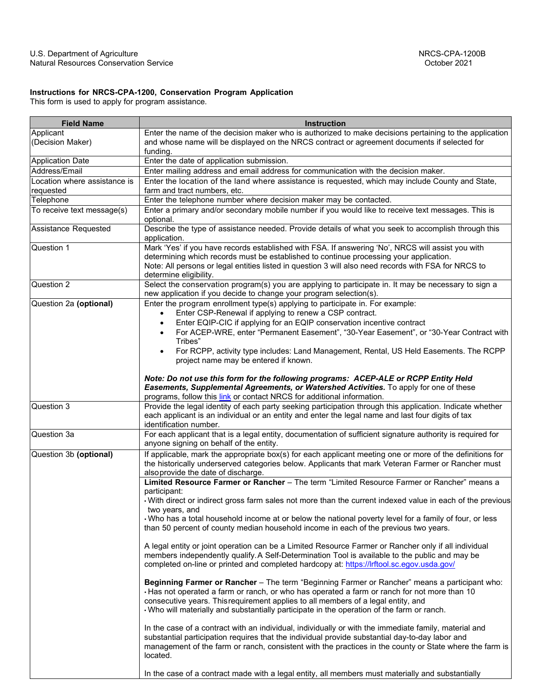## **Instructions for NRCS-CPA-1200, Conservation Program Application**

This form is used to apply for program assistance.

| <b>Field Name</b>            | Instruction                                                                                                                                                                                                                                                                                                                                                                                                                                                |
|------------------------------|------------------------------------------------------------------------------------------------------------------------------------------------------------------------------------------------------------------------------------------------------------------------------------------------------------------------------------------------------------------------------------------------------------------------------------------------------------|
| Applicant                    | Enter the name of the decision maker who is authorized to make decisions pertaining to the application                                                                                                                                                                                                                                                                                                                                                     |
| (Decision Maker)             | and whose name will be displayed on the NRCS contract or agreement documents if selected for<br>funding.                                                                                                                                                                                                                                                                                                                                                   |
| <b>Application Date</b>      | Enter the date of application submission.                                                                                                                                                                                                                                                                                                                                                                                                                  |
| Address/Email                | Enter mailing address and email address for communication with the decision maker.                                                                                                                                                                                                                                                                                                                                                                         |
| Location where assistance is | Enter the location of the land where assistance is requested, which may include County and State,                                                                                                                                                                                                                                                                                                                                                          |
| requested                    | farm and tract numbers, etc.                                                                                                                                                                                                                                                                                                                                                                                                                               |
| Telephone                    | Enter the telephone number where decision maker may be contacted.                                                                                                                                                                                                                                                                                                                                                                                          |
| To receive text message(s)   | Enter a primary and/or secondary mobile number if you would like to receive text messages. This is<br>optional.                                                                                                                                                                                                                                                                                                                                            |
| Assistance Requested         | Describe the type of assistance needed. Provide details of what you seek to accomplish through this<br>application.                                                                                                                                                                                                                                                                                                                                        |
| Question 1                   | Mark 'Yes' if you have records established with FSA. If answering 'No', NRCS will assist you with<br>determining which records must be established to continue processing your application.<br>Note: All persons or legal entities listed in question 3 will also need records with FSA for NRCS to<br>determine eligibility.                                                                                                                              |
| Question 2                   | Select the conservation program(s) you are applying to participate in. It may be necessary to sign a<br>new application if you decide to change your program selection(s).                                                                                                                                                                                                                                                                                 |
| Question 2a (optional)       | Enter the program enrollment type(s) applying to participate in. For example:<br>Enter CSP-Renewal if applying to renew a CSP contract.<br>Enter EQIP-CIC if applying for an EQIP conservation incentive contract<br>For ACEP-WRE, enter "Permanent Easement", "30-Year Easement", or "30-Year Contract with<br>Tribes"<br>For RCPP, activity type includes: Land Management, Rental, US Held Easements. The RCPP<br>project name may be entered if known. |
|                              | Note: Do not use this form for the following programs: ACEP-ALE or RCPP Entity Held<br>Easements, Supplemental Agreements, or Watershed Activities. To apply for one of these<br>programs, follow this link or contact NRCS for additional information.                                                                                                                                                                                                    |
| Question 3                   | Provide the legal identity of each party seeking participation through this application. Indicate whether<br>each applicant is an individual or an entity and enter the legal name and last four digits of tax<br>identification number.                                                                                                                                                                                                                   |
| Question 3a                  | For each applicant that is a legal entity, documentation of sufficient signature authority is required for<br>anyone signing on behalf of the entity.                                                                                                                                                                                                                                                                                                      |
| Question 3b (optional)       | If applicable, mark the appropriate box(s) for each applicant meeting one or more of the definitions for<br>the historically underserved categories below. Applicants that mark Veteran Farmer or Rancher must<br>alsoprovide the date of discharge.                                                                                                                                                                                                       |
|                              | Limited Resource Farmer or Rancher - The term "Limited Resource Farmer or Rancher" means a                                                                                                                                                                                                                                                                                                                                                                 |
|                              | participant:<br>With direct or indirect gross farm sales not more than the current indexed value in each of the previous<br>two years, and                                                                                                                                                                                                                                                                                                                 |
|                              | Who has a total household income at or below the national poverty level for a family of four, or less<br>than 50 percent of county median household income in each of the previous two years.                                                                                                                                                                                                                                                              |
|                              | A legal entity or joint operation can be a Limited Resource Farmer or Rancher only if all individual<br>members independently qualify. A Self-Determination Tool is available to the public and may be<br>completed on-line or printed and completed hardcopy at: https://lrftool.sc.egov.usda.gov/                                                                                                                                                        |
|                              | Beginning Farmer or Rancher - The term "Beginning Farmer or Rancher" means a participant who:<br>· Has not operated a farm or ranch, or who has operated a farm or ranch for not more than 10<br>consecutive years. This requirement applies to all members of a legal entity, and<br>. Who will materially and substantially participate in the operation of the farm or ranch.                                                                           |
|                              | In the case of a contract with an individual, individually or with the immediate family, material and<br>substantial participation requires that the individual provide substantial day-to-day labor and<br>management of the farm or ranch, consistent with the practices in the county or State where the farm is<br>located.                                                                                                                            |
|                              | In the case of a contract made with a legal entity, all members must materially and substantially                                                                                                                                                                                                                                                                                                                                                          |